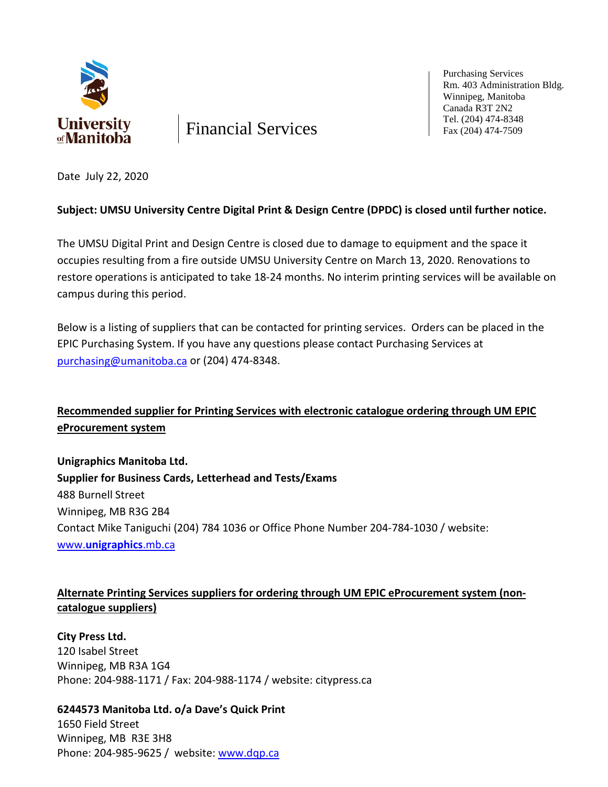

Financial Services

Purchasing Services Rm. 403 Administration Bldg. Winnipeg, Manitoba Canada R3T 2N2 Tel. (204) 474-8348 Fax (204) 474-7509

Date July 22, 2020

### **Subject: UMSU University Centre Digital Print & Design Centre (DPDC) is closed until further notice.**

The UMSU Digital Print and Design Centre is closed due to damage to equipment and the space it occupies resulting from a fire outside UMSU University Centre on March 13, 2020. Renovations to restore operations is anticipated to take 18-24 months. No interim printing services will be available on campus during this period.

Below is a listing of suppliers that can be contacted for printing services. Orders can be placed in the EPIC Purchasing System. If you have any questions please contact Purchasing Services at [purchasing@umanitoba.ca](mailto:purchasing@umanitoba.ca) or (204) 474-8348.

# **Recommended supplier for Printing Services with electronic catalogue ordering through UM EPIC eProcurement system**

**Unigraphics Manitoba Ltd. Supplier for Business Cards, Letterhead and Tests/Exams** 488 Burnell Street Winnipeg, MB R3G 2B4 Contact Mike Taniguchi (204) 784 1036 or Office Phone Number 204-784-1030 / website: www.**[unigraphics](http://www.unigraphics.mb.ca/)**.mb.ca

## **Alternate Printing Services suppliers for ordering through UM EPIC eProcurement system (noncatalogue suppliers)**

**City Press Ltd.**  120 Isabel Street Winnipeg, MB R3A 1G4 Phone: 204-988-1171 / Fax: 204-988-1174 / website: citypress.ca

**6244573 Manitoba Ltd. o/a Dave's Quick Print**  1650 Field Street Winnipeg, MB R3E 3H8 Phone: 204-985-9625 / website: [www.dqp.ca](http://www.dqp.ca/)